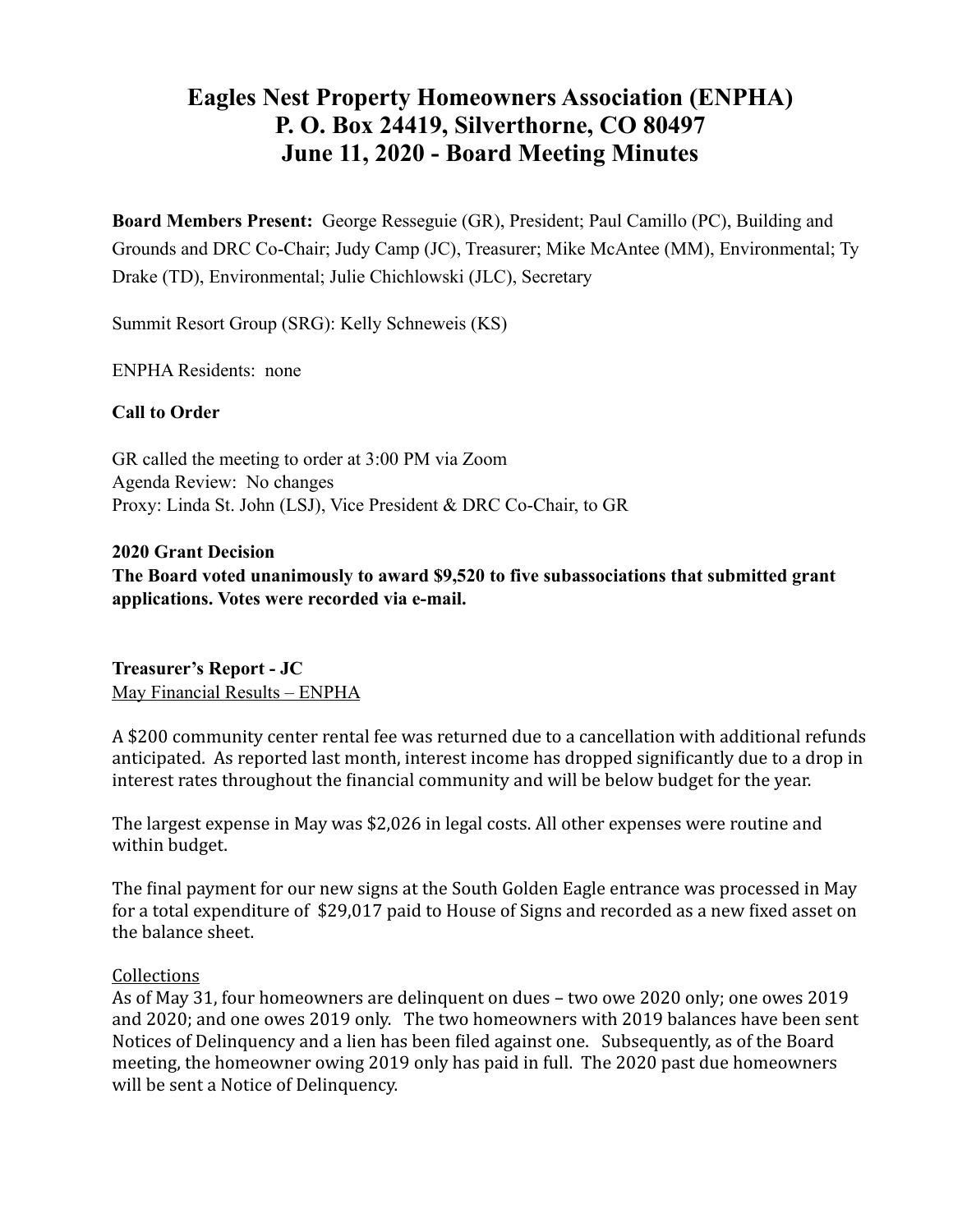# **Eagles Nest Property Homeowners Association (ENPHA) P. O. Box 24419, Silverthorne, CO 80497 June 11, 2020 - Board Meeting Minutes**

**Board Members Present:** George Resseguie (GR), President; Paul Camillo (PC), Building and Grounds and DRC Co-Chair; Judy Camp (JC), Treasurer; Mike McAntee (MM), Environmental; Ty Drake (TD), Environmental; Julie Chichlowski (JLC), Secretary

Summit Resort Group (SRG): Kelly Schneweis (KS)

ENPHA Residents: none

#### **Call to Order**

GR called the meeting to order at 3:00 PM via Zoom Agenda Review: No changes Proxy: Linda St. John (LSJ), Vice President & DRC Co-Chair, to GR

**2020 Grant Decision** 

**The Board voted unanimously to award \$9,520 to five subassociations that submitted grant applications. Votes were recorded via e-mail.** 

**Treasurer's Report - JC** May Financial Results – ENPHA

A \$200 community center rental fee was returned due to a cancellation with additional refunds anticipated. As reported last month, interest income has dropped significantly due to a drop in interest rates throughout the financial community and will be below budget for the year.

The largest expense in May was \$2,026 in legal costs. All other expenses were routine and within budget.

The final payment for our new signs at the South Golden Eagle entrance was processed in May for a total expenditure of \$29,017 paid to House of Signs and recorded as a new fixed asset on the balance sheet.

#### **Collections**

As of May 31, four homeowners are delinquent on dues – two owe 2020 only; one owes 2019 and 2020; and one owes 2019 only. The two homeowners with 2019 balances have been sent Notices of Delinquency and a lien has been filed against one. Subsequently, as of the Board meeting, the homeowner owing 2019 only has paid in full. The 2020 past due homeowners will be sent a Notice of Delinquency.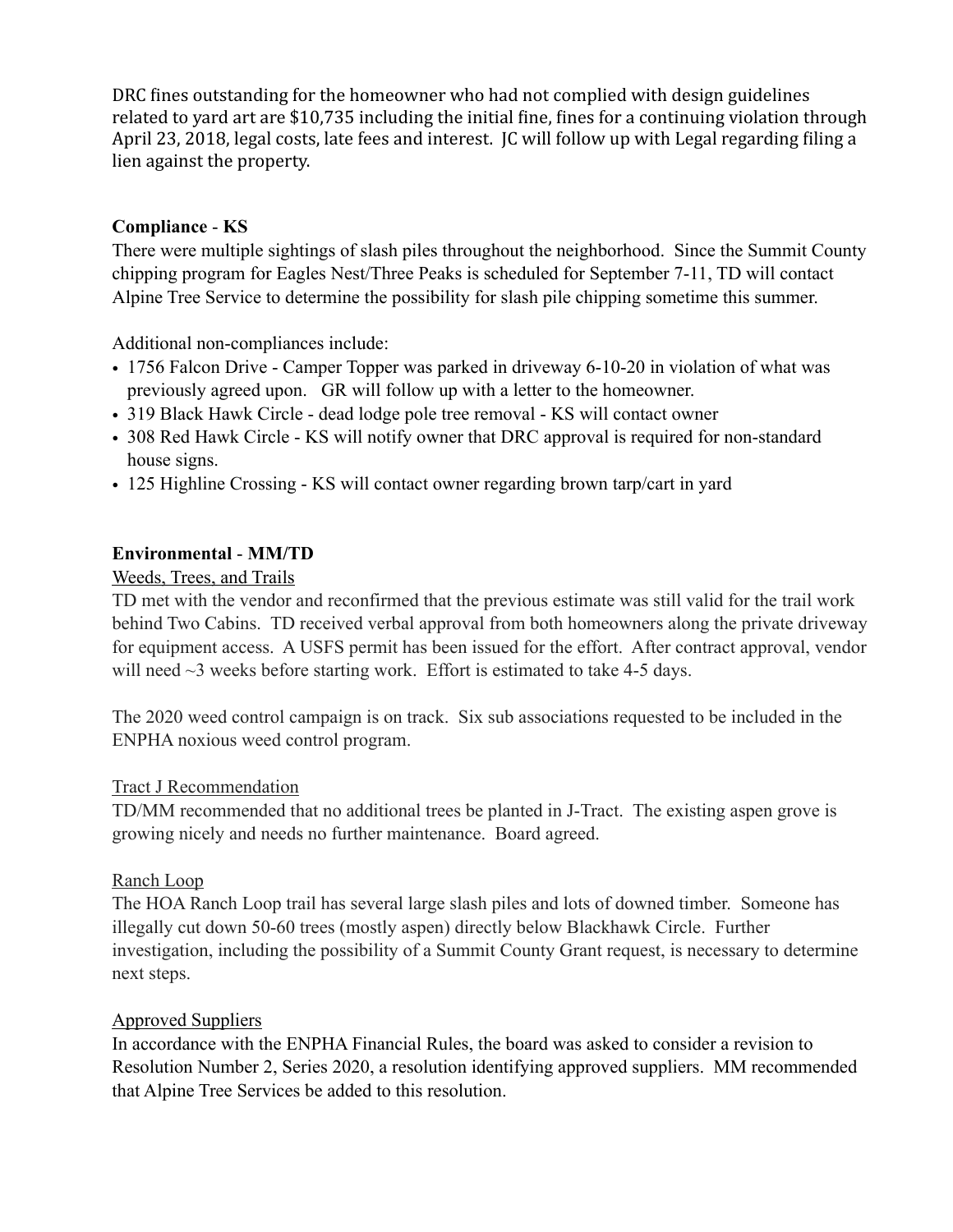DRC fines outstanding for the homeowner who had not complied with design guidelines related to yard art are \$10,735 including the initial fine, fines for a continuing violation through April 23, 2018, legal costs, late fees and interest. IC will follow up with Legal regarding filing a lien against the property.

## **Compliance** - **KS**

There were multiple sightings of slash piles throughout the neighborhood. Since the Summit County chipping program for Eagles Nest/Three Peaks is scheduled for September 7-11, TD will contact Alpine Tree Service to determine the possibility for slash pile chipping sometime this summer.

Additional non-compliances include:

- 1756 Falcon Drive Camper Topper was parked in driveway 6-10-20 in violation of what was previously agreed upon. GR will follow up with a letter to the homeowner.
- 319 Black Hawk Circle dead lodge pole tree removal KS will contact owner
- 308 Red Hawk Circle KS will notify owner that DRC approval is required for non-standard house signs.
- 125 Highline Crossing KS will contact owner regarding brown tarp/cart in yard

# **Environmental** - **MM/TD**

## Weeds, Trees, and Trails

TD met with the vendor and reconfirmed that the previous estimate was still valid for the trail work behind Two Cabins. TD received verbal approval from both homeowners along the private driveway for equipment access. A USFS permit has been issued for the effort. After contract approval, vendor will need  $\sim$ 3 weeks before starting work. Effort is estimated to take 4-5 days.

The 2020 weed control campaign is on track. Six sub associations requested to be included in the ENPHA noxious weed control program.

## Tract J Recommendation

TD/MM recommended that no additional trees be planted in J-Tract. The existing aspen grove is growing nicely and needs no further maintenance. Board agreed.

## Ranch Loop

The HOA Ranch Loop trail has several large slash piles and lots of downed timber. Someone has illegally cut down 50-60 trees (mostly aspen) directly below Blackhawk Circle. Further investigation, including the possibility of a Summit County Grant request, is necessary to determine next steps.

## Approved Suppliers

In accordance with the ENPHA Financial Rules, the board was asked to consider a revision to Resolution Number 2, Series 2020, a resolution identifying approved suppliers. MM recommended that Alpine Tree Services be added to this resolution.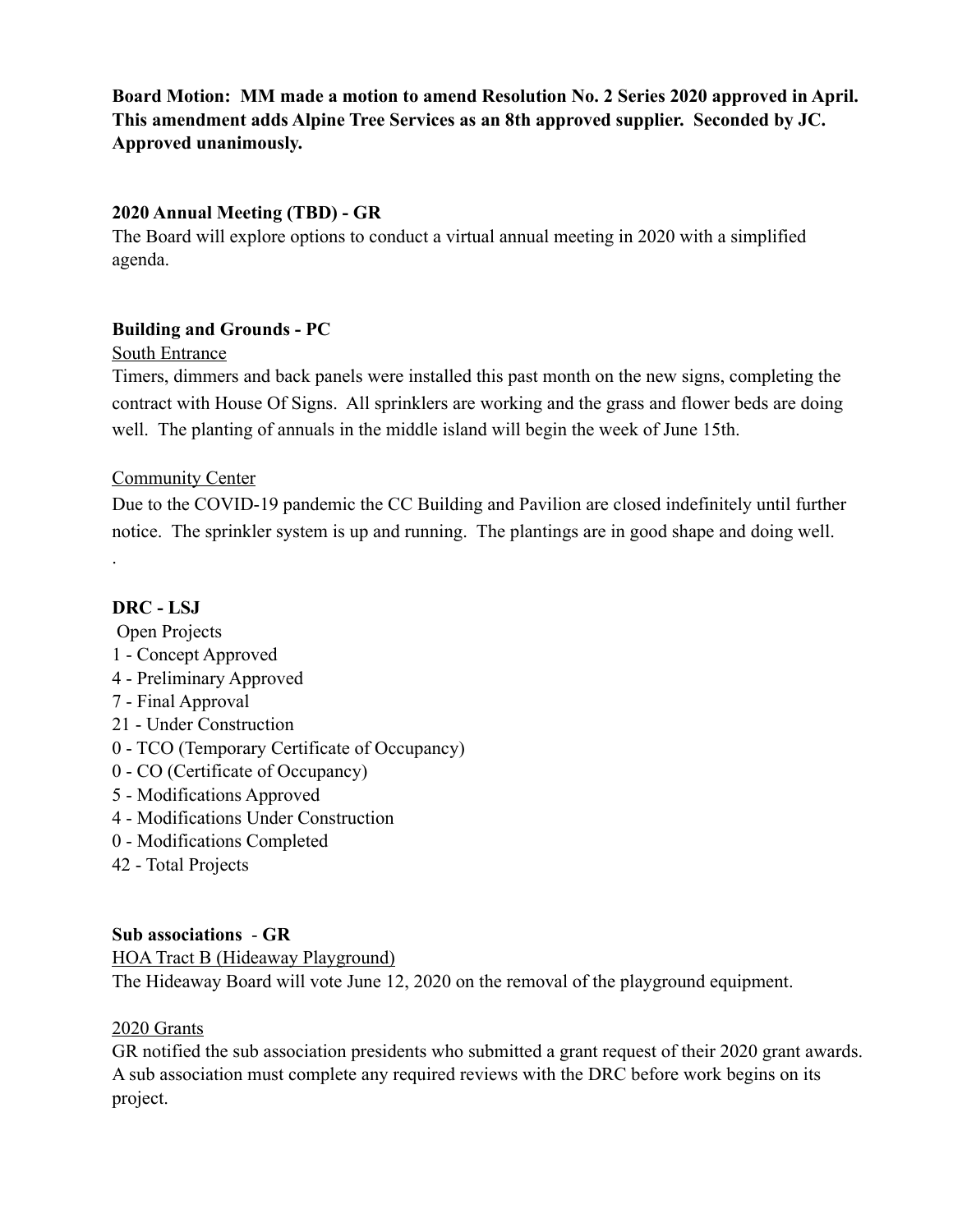**Board Motion: MM made a motion to amend Resolution No. 2 Series 2020 approved in April. This amendment adds Alpine Tree Services as an 8th approved supplier. Seconded by JC. Approved unanimously.** 

#### **2020 Annual Meeting (TBD) - GR**

The Board will explore options to conduct a virtual annual meeting in 2020 with a simplified agenda.

## **Building and Grounds - PC**

#### South Entrance

Timers, dimmers and back panels were installed this past month on the new signs, completing the contract with House Of Signs. All sprinklers are working and the grass and flower beds are doing well. The planting of annuals in the middle island will begin the week of June 15th.

## **Community Center**

Due to the COVID-19 pandemic the CC Building and Pavilion are closed indefinitely until further notice. The sprinkler system is up and running. The plantings are in good shape and doing well.

# **DRC - LSJ**

.

 Open Projects 1 - Concept Approved 4 - Preliminary Approved 7 - Final Approval 21 - Under Construction 0 - TCO (Temporary Certificate of Occupancy) 0 - CO (Certificate of Occupancy) 5 - Modifications Approved 4 - Modifications Under Construction 0 - Modifications Completed 42 - Total Projects

## **Sub associations** - **GR**

HOA Tract B (Hideaway Playground) The Hideaway Board will vote June 12, 2020 on the removal of the playground equipment.

## 2020 Grants

GR notified the sub association presidents who submitted a grant request of their 2020 grant awards. A sub association must complete any required reviews with the DRC before work begins on its project.